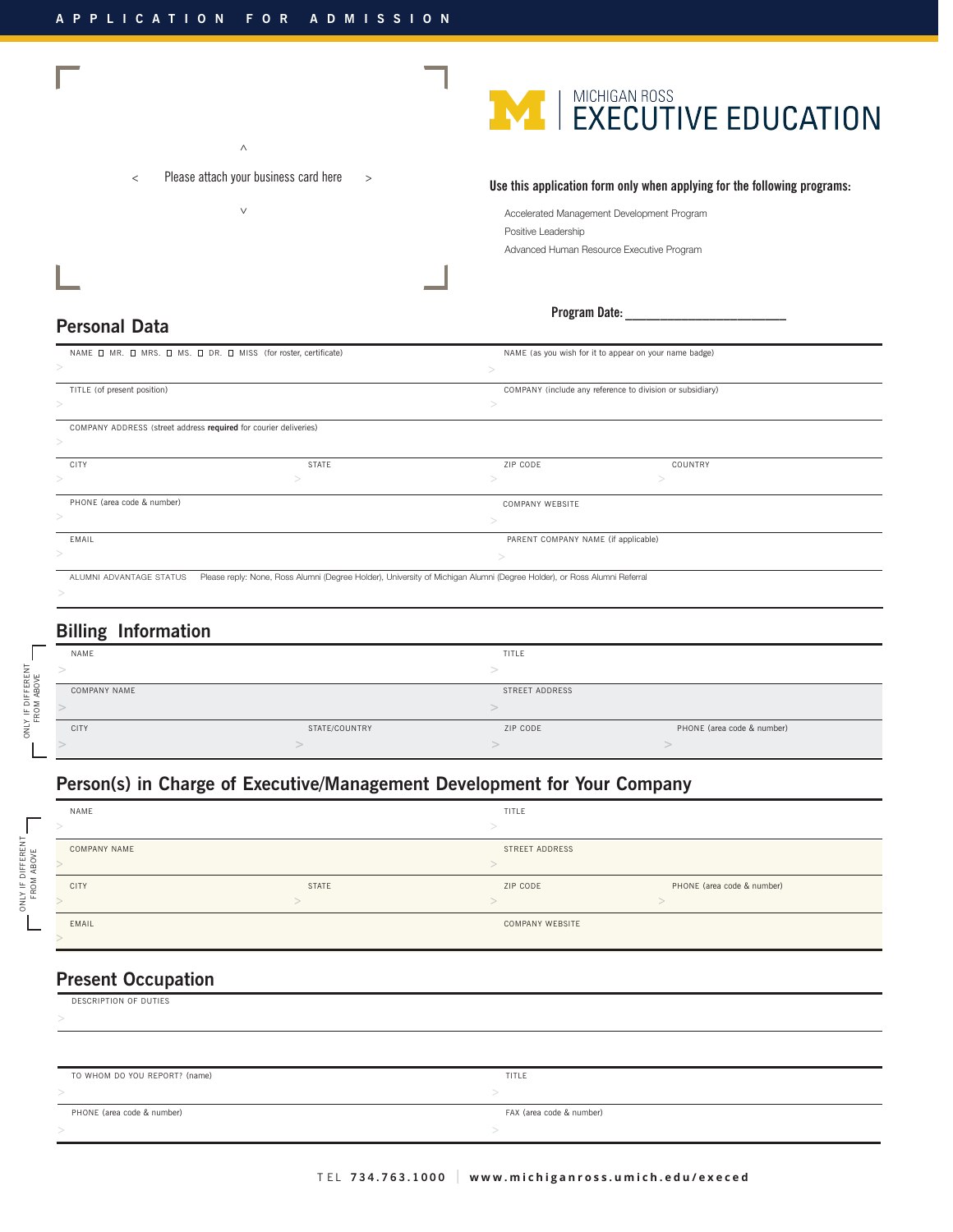



**Use this application form only when applying for the following programs:**

| Accelerated Management Development Program |
|--------------------------------------------|
| Positive Leadership                        |
| Advanced Human Resource Executive Program  |

#### **Program Date: \_\_\_\_\_\_\_\_\_\_\_\_\_\_\_\_\_\_\_\_\_\_\_**

### **Personal Data**

| NAME O MR. O MRS. O MS. O DR. O MISS (for roster, certificate)   |              |                                                                                                                         | NAME (as you wish for it to appear on your name badge)    |  |
|------------------------------------------------------------------|--------------|-------------------------------------------------------------------------------------------------------------------------|-----------------------------------------------------------|--|
| $\,>$                                                            |              |                                                                                                                         |                                                           |  |
| TITLE (of present position)                                      |              |                                                                                                                         | COMPANY (include any reference to division or subsidiary) |  |
| >                                                                |              |                                                                                                                         |                                                           |  |
| COMPANY ADDRESS (street address required for courier deliveries) |              |                                                                                                                         |                                                           |  |
| $\,>$                                                            |              |                                                                                                                         |                                                           |  |
| <b>CITY</b>                                                      | <b>STATE</b> | ZIP CODE                                                                                                                | COUNTRY                                                   |  |
|                                                                  |              |                                                                                                                         |                                                           |  |
| PHONE (area code & number)                                       |              | COMPANY WEBSITE                                                                                                         |                                                           |  |
|                                                                  |              |                                                                                                                         |                                                           |  |
| EMAIL                                                            |              | PARENT COMPANY NAME (if applicable)                                                                                     |                                                           |  |
|                                                                  |              |                                                                                                                         |                                                           |  |
| ALUMNI ADVANTAGE STATUS                                          |              | Please reply: None, Ross Alumni (Degree Holder), University of Michigan Alumni (Degree Holder), or Ross Alumni Referral |                                                           |  |
|                                                                  |              |                                                                                                                         |                                                           |  |

# **Billing Information**

| NAME         |               | TITLE          |                            |
|--------------|---------------|----------------|----------------------------|
|              |               |                |                            |
| COMPANY NAME |               | STREET ADDRESS |                            |
|              |               |                |                            |
| CITY         | STATE/COUNTRY | ZIP CODE       | PHONE (area code & number) |
|              |               |                |                            |

# **Person(s) in Charge of Executive/Management Development for Your Company**

| NAME         |       | TITLE           |                            |
|--------------|-------|-----------------|----------------------------|
|              |       |                 |                            |
| COMPANY NAME |       | STREET ADDRESS  |                            |
|              |       |                 |                            |
| <b>CITY</b>  | STATE | ZIP CODE        | PHONE (area code & number) |
|              |       |                 |                            |
| EMAIL        |       | COMPANY WEBSITE |                            |
|              |       |                 |                            |

# **Present Occupation**

| DESCRIPTION OF DUTIES         |                          |
|-------------------------------|--------------------------|
|                               |                          |
|                               |                          |
|                               |                          |
| TO WHOM DO YOU REPORT? (name) | TITLE                    |
|                               |                          |
| PHONE (area code & number)    | FAX (area code & number) |
|                               |                          |
|                               |                          |